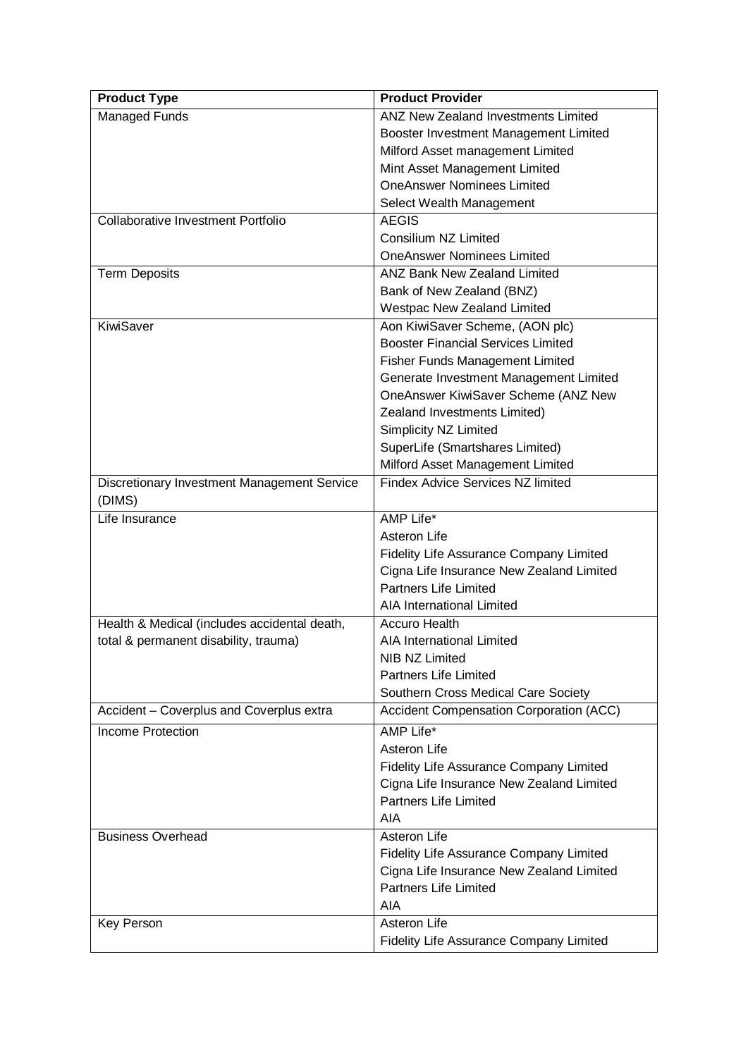| <b>Product Type</b>                          | <b>Product Provider</b>                        |
|----------------------------------------------|------------------------------------------------|
| <b>Managed Funds</b>                         | <b>ANZ New Zealand Investments Limited</b>     |
|                                              | Booster Investment Management Limited          |
|                                              | Milford Asset management Limited               |
|                                              | Mint Asset Management Limited                  |
|                                              | <b>OneAnswer Nominees Limited</b>              |
|                                              | Select Wealth Management                       |
| <b>Collaborative Investment Portfolio</b>    | <b>AEGIS</b>                                   |
|                                              | Consilium NZ Limited                           |
|                                              | <b>OneAnswer Nominees Limited</b>              |
| <b>Term Deposits</b>                         | <b>ANZ Bank New Zealand Limited</b>            |
|                                              | Bank of New Zealand (BNZ)                      |
|                                              | <b>Westpac New Zealand Limited</b>             |
| KiwiSaver                                    | Aon KiwiSaver Scheme, (AON plc)                |
|                                              | <b>Booster Financial Services Limited</b>      |
|                                              | <b>Fisher Funds Management Limited</b>         |
|                                              | Generate Investment Management Limited         |
|                                              | OneAnswer KiwiSaver Scheme (ANZ New            |
|                                              | Zealand Investments Limited)                   |
|                                              | Simplicity NZ Limited                          |
|                                              | SuperLife (Smartshares Limited)                |
|                                              | Milford Asset Management Limited               |
| Discretionary Investment Management Service  | <b>Findex Advice Services NZ limited</b>       |
| (DIMS)                                       |                                                |
| Life Insurance                               | AMP Life*                                      |
|                                              | Asteron Life                                   |
|                                              | Fidelity Life Assurance Company Limited        |
|                                              | Cigna Life Insurance New Zealand Limited       |
|                                              | <b>Partners Life Limited</b>                   |
|                                              | AIA International Limited                      |
| Health & Medical (includes accidental death, | <b>Accuro Health</b>                           |
| total & permanent disability, trauma)        | <b>AIA International Limited</b>               |
|                                              | <b>NIB NZ Limited</b>                          |
|                                              | <b>Partners Life Limited</b>                   |
|                                              | Southern Cross Medical Care Society            |
| Accident - Coverplus and Coverplus extra     | <b>Accident Compensation Corporation (ACC)</b> |
| <b>Income Protection</b>                     | AMP Life*                                      |
|                                              | Asteron Life                                   |
|                                              | Fidelity Life Assurance Company Limited        |
|                                              | Cigna Life Insurance New Zealand Limited       |
|                                              | <b>Partners Life Limited</b>                   |
|                                              | <b>AIA</b>                                     |
| <b>Business Overhead</b>                     | Asteron Life                                   |
|                                              | Fidelity Life Assurance Company Limited        |
|                                              | Cigna Life Insurance New Zealand Limited       |
|                                              | <b>Partners Life Limited</b>                   |
|                                              | AIA                                            |
| <b>Key Person</b>                            | Asteron Life                                   |
|                                              | Fidelity Life Assurance Company Limited        |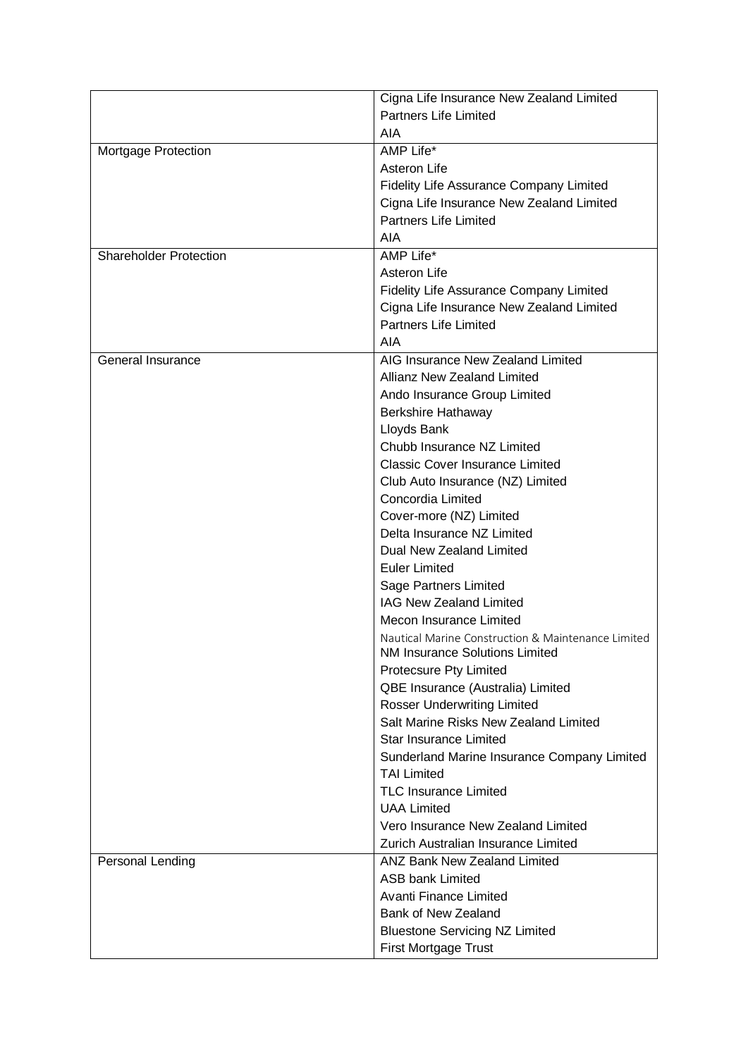|                               | Cigna Life Insurance New Zealand Limited                                             |
|-------------------------------|--------------------------------------------------------------------------------------|
|                               | <b>Partners Life Limited</b>                                                         |
|                               | AIA                                                                                  |
| Mortgage Protection           | AMP Life*                                                                            |
|                               | Asteron Life                                                                         |
|                               | Fidelity Life Assurance Company Limited                                              |
|                               | Cigna Life Insurance New Zealand Limited                                             |
|                               | <b>Partners Life Limited</b>                                                         |
|                               | AIA                                                                                  |
| <b>Shareholder Protection</b> | AMP Life*                                                                            |
|                               | Asteron Life                                                                         |
|                               | <b>Fidelity Life Assurance Company Limited</b>                                       |
|                               | Cigna Life Insurance New Zealand Limited                                             |
|                               | <b>Partners Life Limited</b>                                                         |
|                               | <b>AIA</b>                                                                           |
| General Insurance             | AIG Insurance New Zealand Limited                                                    |
|                               | <b>Allianz New Zealand Limited</b>                                                   |
|                               | Ando Insurance Group Limited                                                         |
|                               | <b>Berkshire Hathaway</b>                                                            |
|                               | Lloyds Bank                                                                          |
|                               | Chubb Insurance NZ Limited                                                           |
|                               | <b>Classic Cover Insurance Limited</b>                                               |
|                               | Club Auto Insurance (NZ) Limited                                                     |
|                               | Concordia Limited                                                                    |
|                               |                                                                                      |
|                               | Cover-more (NZ) Limited<br>Delta Insurance NZ Limited                                |
|                               | Dual New Zealand Limited                                                             |
|                               |                                                                                      |
|                               | <b>Euler Limited</b>                                                                 |
|                               | <b>Sage Partners Limited</b><br><b>IAG New Zealand Limited</b>                       |
|                               | Mecon Insurance Limited                                                              |
|                               |                                                                                      |
|                               | Nautical Marine Construction & Maintenance Limited<br>NM Insurance Solutions Limited |
|                               | Protecsure Pty Limited                                                               |
|                               | QBE Insurance (Australia) Limited                                                    |
|                               | <b>Rosser Underwriting Limited</b>                                                   |
|                               | Salt Marine Risks New Zealand Limited                                                |
|                               | <b>Star Insurance Limited</b>                                                        |
|                               | Sunderland Marine Insurance Company Limited                                          |
|                               | <b>TAI Limited</b>                                                                   |
|                               | <b>TLC Insurance Limited</b>                                                         |
|                               | <b>UAA Limited</b>                                                                   |
|                               | Vero Insurance New Zealand Limited                                                   |
|                               | Zurich Australian Insurance Limited                                                  |
| Personal Lending              | <b>ANZ Bank New Zealand Limited</b>                                                  |
|                               | <b>ASB bank Limited</b>                                                              |
|                               | <b>Avanti Finance Limited</b>                                                        |
|                               | Bank of New Zealand                                                                  |
|                               | <b>Bluestone Servicing NZ Limited</b>                                                |
|                               | First Mortgage Trust                                                                 |